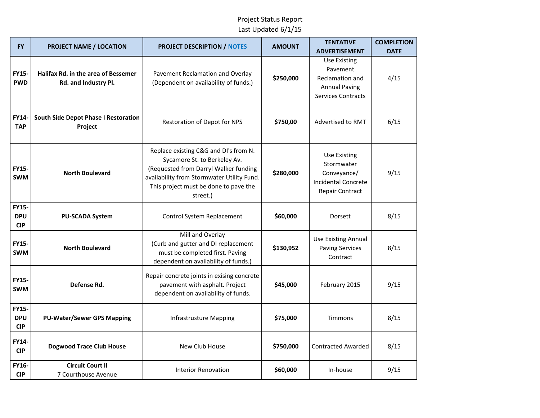| <b>FY</b>                                | <b>PROJECT NAME / LOCATION</b>                                     | <b>PROJECT DESCRIPTION / NOTES</b>                                                                                                                                                                                | <b>AMOUNT</b> | <b>TENTATIVE</b><br><b>ADVERTISEMENT</b>                                                                | <b>COMPLETION</b><br><b>DATE</b> |
|------------------------------------------|--------------------------------------------------------------------|-------------------------------------------------------------------------------------------------------------------------------------------------------------------------------------------------------------------|---------------|---------------------------------------------------------------------------------------------------------|----------------------------------|
| <b>FY15-</b><br><b>PWD</b>               | <b>Halifax Rd. in the area of Bessemer</b><br>Rd. and Industry Pl. | Pavement Reclamation and Overlay<br>(Dependent on availability of funds.)                                                                                                                                         | \$250,000     | Use Existing<br>Pavement<br><b>Reclamation and</b><br><b>Annual Paving</b><br><b>Services Contracts</b> | 4/15                             |
| <b>FY14-</b><br><b>TAP</b>               | <b>South Side Depot Phase I Restoration</b><br>Project             | Restoration of Depot for NPS                                                                                                                                                                                      | \$750,00      | Advertised to RMT                                                                                       | 6/15                             |
| <b>FY15-</b><br><b>SWM</b>               | <b>North Boulevard</b>                                             | Replace existing C&G and DI's from N.<br>Sycamore St. to Berkeley Av.<br>(Requested from Darryl Walker funding<br>availability from Stormwater Utility Fund.<br>This project must be done to pave the<br>street.) | \$280,000     | <b>Use Existing</b><br>Stormwater<br>Conveyance/<br><b>Incidental Concrete</b><br>Repair Contract       | 9/15                             |
| <b>FY15-</b><br><b>DPU</b><br><b>CIP</b> | <b>PU-SCADA System</b>                                             | Control System Replacement                                                                                                                                                                                        | \$60,000      | Dorsett                                                                                                 | 8/15                             |
| <b>FY15-</b><br><b>SWM</b>               | <b>North Boulevard</b>                                             | Mill and Overlay<br>(Curb and gutter and DI replacement<br>must be completed first. Paving<br>dependent on availability of funds.)                                                                                | \$130,952     | <b>Use Existing Annual</b><br><b>Paving Services</b><br>Contract                                        | 8/15                             |
| <b>FY15-</b><br><b>SWM</b>               | Defense Rd.                                                        | Repair concrete joints in exising concrete<br>pavement with asphalt. Project<br>dependent on availability of funds.                                                                                               | \$45,000      | February 2015                                                                                           | 9/15                             |
| <b>FY15-</b><br><b>DPU</b><br><b>CIP</b> | <b>PU-Water/Sewer GPS Mapping</b>                                  | <b>Infrastrusture Mapping</b>                                                                                                                                                                                     | \$75,000      | <b>Timmons</b>                                                                                          | 8/15                             |
| <b>FY14-</b><br><b>CIP</b>               | <b>Dogwood Trace Club House</b>                                    | New Club House                                                                                                                                                                                                    | \$750,000     | <b>Contracted Awarded</b>                                                                               | 8/15                             |
| <b>FY16-</b><br><b>CIP</b>               | <b>Circuit Court II</b><br>7 Courthouse Avenue                     | <b>Interior Renovation</b>                                                                                                                                                                                        | \$60,000      | In-house                                                                                                | 9/15                             |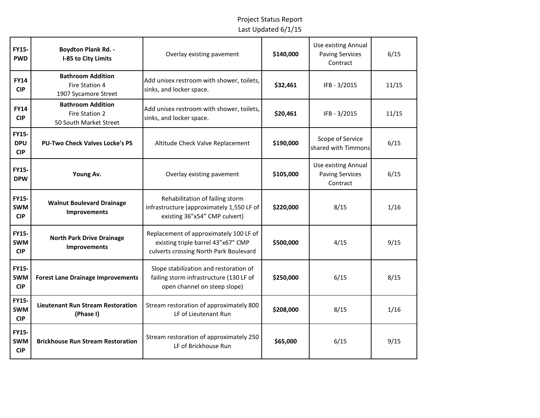| <b>FY15-</b><br><b>PWD</b>               | <b>Boydton Plank Rd. -</b><br>I-85 to City Limits                    | Overlay existing pavement                                                                                              | \$140,000 | Use existing Annual<br><b>Paving Services</b><br>Contract | 6/15  |
|------------------------------------------|----------------------------------------------------------------------|------------------------------------------------------------------------------------------------------------------------|-----------|-----------------------------------------------------------|-------|
| <b>FY14</b><br><b>CIP</b>                | <b>Bathroom Addition</b><br>Fire Station 4<br>1907 Sycamore Street   | Add unisex restroom with shower, toilets,<br>sinks, and locker space.                                                  | \$32,461  | IFB - 3/2015                                              | 11/15 |
| <b>FY14</b><br><b>CIP</b>                | <b>Bathroom Addition</b><br>Fire Station 2<br>50 South Market Street | Add unisex restroom with shower, toilets,<br>sinks, and locker space.                                                  | \$20,461  | IFB - 3/2015                                              | 11/15 |
| <b>FY15-</b><br><b>DPU</b><br><b>CIP</b> | <b>PU-Two Check Valves Locke's PS</b>                                | Altitude Check Valve Replacement                                                                                       | \$190,000 | Scope of Service<br>shared with Timmons                   | 6/15  |
| <b>FY15-</b><br><b>DPW</b>               | Young Av.                                                            | Overlay existing pavement                                                                                              | \$105,000 | Use existing Annual<br><b>Paving Services</b><br>Contract | 6/15  |
| FY15-<br><b>SWM</b><br><b>CIP</b>        | <b>Walnut Boulevard Drainage</b><br><b>Improvements</b>              | Rehabilitation of failing storm<br>infrastructure (approximately 1,550 LF of<br>existing 36"x54" CMP culvert)          | \$220,000 | 8/15                                                      | 1/16  |
| <b>FY15-</b><br><b>SWM</b><br><b>CIP</b> | <b>North Park Drive Drainage</b><br>Improvements                     | Replacement of approximately 100 LF of<br>existing triple barrel 43"x67" CMP<br>culverts crossing North Park Boulevard | \$500,000 | 4/15                                                      | 9/15  |
| <b>FY15-</b><br><b>SWM</b><br><b>CIP</b> | <b>Forest Lane Drainage Improvements</b>                             | Slope stabilization and restoration of<br>failing storm infrastructure (130 LF of<br>open channel on steep slope)      | \$250,000 | 6/15                                                      | 8/15  |
| <b>FY15-</b><br><b>SWM</b><br><b>CIP</b> | <b>Lieutenant Run Stream Restoration</b><br>(Phase I)                | Stream restoration of approximately 800<br>LF of Lieutenant Run                                                        | \$208,000 | 8/15                                                      | 1/16  |
| <b>FY15-</b><br><b>SWM</b><br><b>CIP</b> | <b>Brickhouse Run Stream Restoration</b>                             | Stream restoration of approximately 250<br>LF of Brickhouse Run                                                        | \$65,000  | 6/15                                                      | 9/15  |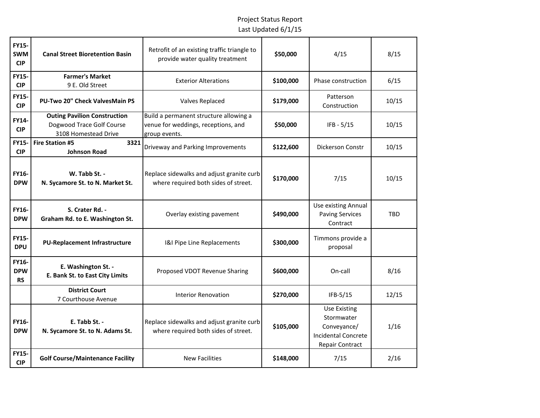| <b>FY15-</b><br><b>SWM</b><br><b>CIP</b> | <b>Canal Street Bioretention Basin</b>                                                   | Retrofit of an existing traffic triangle to<br>provide water quality treatment                 | \$50,000  | 4/15                                                                                              | 8/15       |
|------------------------------------------|------------------------------------------------------------------------------------------|------------------------------------------------------------------------------------------------|-----------|---------------------------------------------------------------------------------------------------|------------|
| <b>FY15-</b><br><b>CIP</b>               | <b>Farmer's Market</b><br>9 E. Old Street                                                | <b>Exterior Alterations</b>                                                                    | \$100,000 | Phase construction                                                                                | 6/15       |
| <b>FY15-</b><br><b>CIP</b>               | <b>PU-Two 20" Check ValvesMain PS</b>                                                    | <b>Valves Replaced</b>                                                                         | \$179,000 | Patterson<br>Construction                                                                         | 10/15      |
| FY14-<br><b>CIP</b>                      | <b>Outing Pavilion Construction</b><br>Dogwood Trace Golf Course<br>3108 Homestead Drive | Build a permanent structure allowing a<br>venue for weddings, receptions, and<br>group events. | \$50,000  | $IFB - 5/15$                                                                                      | 10/15      |
| <b>FY15-</b><br><b>CIP</b>               | 3321<br><b>Fire Station #5</b><br><b>Johnson Road</b>                                    | Driveway and Parking Improvements                                                              | \$122,600 | <b>Dickerson Constr</b>                                                                           | 10/15      |
| FY16-<br><b>DPW</b>                      | W. Tabb St. -<br>N. Sycamore St. to N. Market St.                                        | Replace sidewalks and adjust granite curb<br>where required both sides of street.              | \$170,000 | 7/15                                                                                              | 10/15      |
| FY16-<br><b>DPW</b>                      | S. Crater Rd. -<br>Graham Rd. to E. Washington St.                                       | Overlay existing pavement                                                                      | \$490,000 | <b>Use existing Annual</b><br><b>Paving Services</b><br>Contract                                  | <b>TBD</b> |
| <b>FY15-</b><br><b>DPU</b>               | <b>PU-Replacement Infrastructure</b>                                                     | I&I Pipe Line Replacements                                                                     | \$300,000 | Timmons provide a<br>proposal                                                                     |            |
| FY16-<br><b>DPW</b><br><b>RS</b>         | E. Washington St. -<br>E. Bank St. to East City Limits                                   | Proposed VDOT Revenue Sharing                                                                  | \$600,000 | On-call                                                                                           | 8/16       |
|                                          | <b>District Court</b><br>7 Courthouse Avenue                                             | <b>Interior Renovation</b>                                                                     | \$270,000 | $IFB-5/15$                                                                                        | 12/15      |
| FY16-<br><b>DPW</b>                      | E. Tabb St. -<br>N. Sycamore St. to N. Adams St.                                         | Replace sidewalks and adjust granite curb<br>where required both sides of street.              | \$105,000 | <b>Use Existing</b><br>Stormwater<br>Conveyance/<br><b>Incidental Concrete</b><br>Repair Contract | 1/16       |
| FY15-<br><b>CIP</b>                      | <b>Golf Course/Maintenance Facility</b>                                                  | <b>New Facilities</b>                                                                          | \$148,000 | 7/15                                                                                              | 2/16       |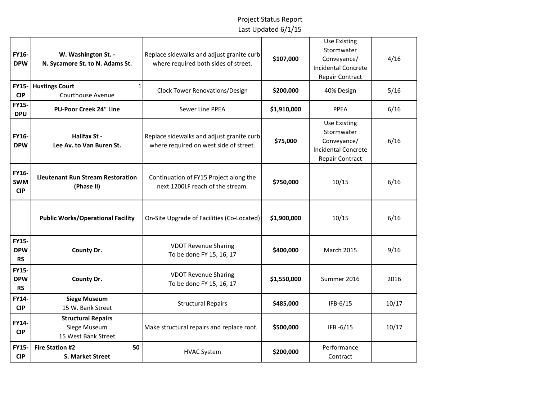| FY16-<br><b>DPW</b>                     | W. Washington St. -<br>N. Sycamore St. to N. Adams St.           | Replace sidewalks and adjust granite curb<br>where required both sides of street.   | \$107,000   | <b>Use Existing</b><br>Stormwater<br>Conveyance/<br><b>Incidental Concrete</b><br><b>Repair Contract</b> | 4/16  |
|-----------------------------------------|------------------------------------------------------------------|-------------------------------------------------------------------------------------|-------------|----------------------------------------------------------------------------------------------------------|-------|
| <b>FY15-</b><br><b>CIP</b>              | <b>Hustings Court</b><br>Courthouse Avenue                       | Clock Tower Renovations/Design                                                      | \$200,000   | 40% Design                                                                                               | 5/16  |
| <b>FY15-</b><br><b>DPU</b>              | <b>PU-Poor Creek 24" Line</b>                                    | Sewer Line PPEA                                                                     | \$1,910,000 | PPEA                                                                                                     | 6/16  |
| <b>FY16-</b><br><b>DPW</b>              | <b>Halifax St -</b><br>Lee Av. to Van Buren St.                  | Replace sidewalks and adjust granite curb<br>where required on west side of street. | \$75,000    | <b>Use Existing</b><br>Stormwater<br>Conveyance/<br><b>Incidental Concrete</b><br>Repair Contract        | 6/16  |
| FY16-<br><b>SWM</b><br><b>CIP</b>       | <b>Lieutenant Run Stream Restoration</b><br>(Phase II)           | Continuation of FY15 Project along the<br>next 1200LF reach of the stream.          | \$750,000   | 10/15                                                                                                    | 6/16  |
|                                         | <b>Public Works/Operational Facility</b>                         | On-Site Upgrade of Facilities (Co-Located)                                          | \$1,900,000 | 10/15                                                                                                    | 6/16  |
| <b>FY15-</b><br><b>DPW</b><br><b>RS</b> | County Dr.                                                       | <b>VDOT Revenue Sharing</b><br>To be done FY 15, 16, 17                             | \$400,000   | <b>March 2015</b>                                                                                        | 9/16  |
| <b>FY15-</b><br><b>DPW</b><br><b>RS</b> | County Dr.                                                       | <b>VDOT Revenue Sharing</b><br>To be done FY 15, 16, 17                             | \$1,550,000 | Summer 2016                                                                                              | 2016  |
| <b>FY14-</b><br><b>CIP</b>              | <b>Siege Museum</b><br>15 W. Bank Street                         | <b>Structural Repairs</b>                                                           | \$485,000   | IFB-6/15                                                                                                 | 10/17 |
| <b>FY14-</b><br><b>CIP</b>              | <b>Structural Repairs</b><br>Siege Museum<br>15 West Bank Street | Make structural repairs and replace roof.                                           | \$500,000   | IFB -6/15                                                                                                | 10/17 |
| <b>FY15-</b><br><b>CIP</b>              | 50<br><b>Fire Station #2</b><br><b>S. Market Street</b>          | <b>HVAC System</b>                                                                  | \$200,000   | Performance<br>Contract                                                                                  |       |